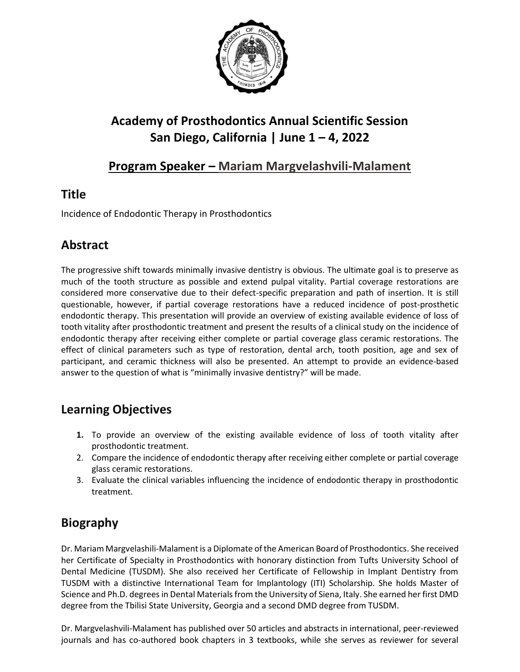

# **Academy of Prosthodontics Annual Scientific Session San Diego, California | June 1 – 4, 2022**

### **Program Speaker – Mariam Margvelashvili-Malament**

## **Title**

Incidence of Endodontic Therapy in Prosthodontics

## **Abstract**

The progressive shift towards minimally invasive dentistry is obvious. The ultimate goal is to preserve as much of the tooth structure as possible and extend pulpal vitality. Partial coverage restorations are considered more conservative due to their defect-specific preparation and path of insertion. It is still questionable, however, if partial coverage restorations have a reduced incidence of post-prosthetic endodontic therapy. This presentation will provide an overview of existing available evidence of loss of tooth vitality after prosthodontic treatment and present the results of a clinical study on the incidence of endodontic therapy after receiving either complete or partial coverage glass ceramic restorations. The effect of clinical parameters such as type of restoration, dental arch, tooth position, age and sex of participant, and ceramic thickness will also be presented. An attempt to provide an evidence-based answer to the question of what is "minimally invasive dentistry?" will be made.

## **Learning Objectives**

- **1.** To provide an overview of the existing available evidence of loss of tooth vitality after prosthodontic treatment.
- 2. Compare the incidence of endodontic therapy after receiving either complete or partial coverage glass ceramic restorations.
- 3. Evaluate the clinical variables influencing the incidence of endodontic therapy in prosthodontic treatment.

## **Biography**

Dr. Mariam Margvelashili-Malament is a Diplomate of the American Board of Prosthodontics. She received her Certificate of Specialty in Prosthodontics with honorary distinction from Tufts University School of Dental Medicine (TUSDM). She also received her Certificate of Fellowship in Implant Dentistry from TUSDM with a distinctive International Team for Implantology (ITI) Scholarship. She holds Master of Science and Ph.D. degrees in Dental Materials from the University of Siena, Italy. She earned her first DMD degree from the Tbilisi State University, Georgia and a second DMD degree from TUSDM.

Dr. Margvelashvili-Malament has published over 50 articles and abstracts in international, peer-reviewed journals and has co-authored book chapters in 3 textbooks, while she serves as reviewer for several